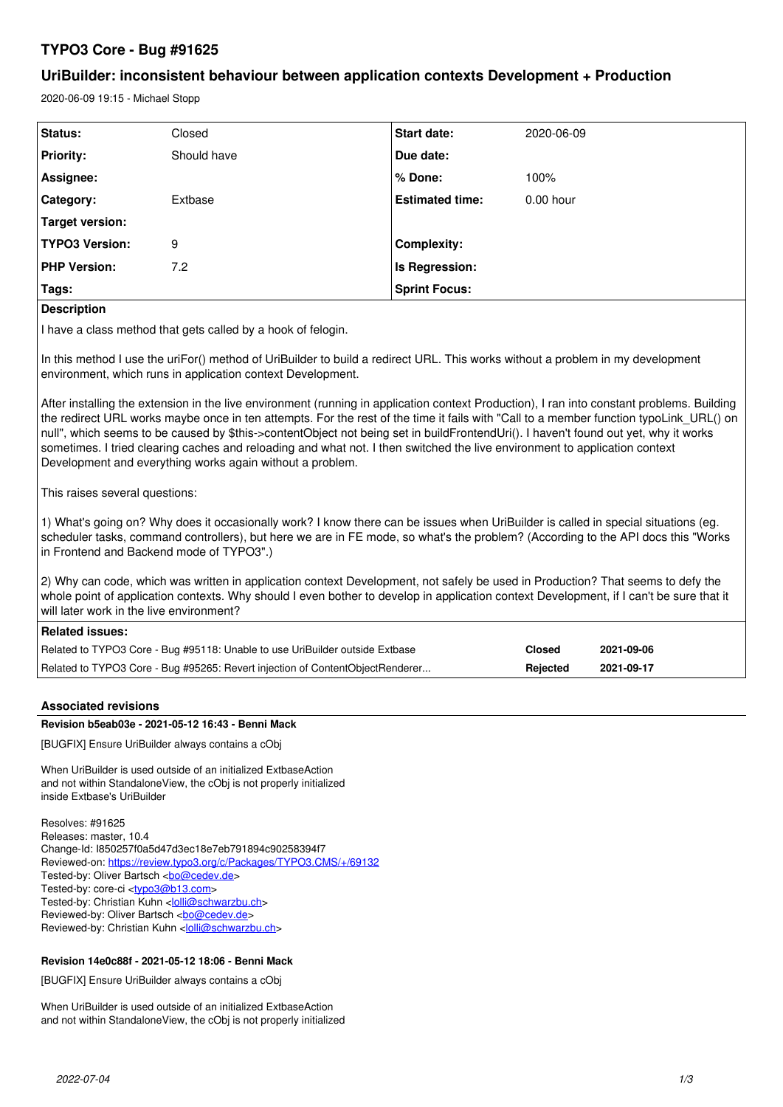# **TYPO3 Core - Bug #91625**

# **UriBuilder: inconsistent behaviour between application contexts Development + Production**

2020-06-09 19:15 - Michael Stopp

| <b>Status:</b>        | Closed      | <b>Start date:</b>     | 2020-06-09  |
|-----------------------|-------------|------------------------|-------------|
| <b>Priority:</b>      | Should have | Due date:              |             |
| Assignee:             |             | % Done:                | 100%        |
| Category:             | Extbase     | <b>Estimated time:</b> | $0.00$ hour |
| Target version:       |             |                        |             |
| <b>TYPO3 Version:</b> | 9           | <b>Complexity:</b>     |             |
| <b>PHP Version:</b>   | 7.2         | Is Regression:         |             |
| Tags:                 |             | <b>Sprint Focus:</b>   |             |

**Description**

I have a class method that gets called by a hook of felogin.

In this method I use the uriFor() method of UriBuilder to build a redirect URL. This works without a problem in my development environment, which runs in application context Development.

After installing the extension in the live environment (running in application context Production), I ran into constant problems. Building the redirect URL works maybe once in ten attempts. For the rest of the time it fails with "Call to a member function typoLink URL() on null", which seems to be caused by \$this->contentObject not being set in buildFrontendUri(). I haven't found out yet, why it works sometimes. I tried clearing caches and reloading and what not. I then switched the live environment to application context Development and everything works again without a problem.

This raises several questions:

1) What's going on? Why does it occasionally work? I know there can be issues when UriBuilder is called in special situations (eg. scheduler tasks, command controllers), but here we are in FE mode, so what's the problem? (According to the API docs this "Works in Frontend and Backend mode of TYPO3".)

2) Why can code, which was written in application context Development, not safely be used in Production? That seems to defy the whole point of application contexts. Why should I even bother to develop in application context Development, if I can't be sure that it will later work in the live environment?

# **Related issues:**

| Related to TYPO3 Core - Bug #95118: Unable to use UriBuilder outside Extbase  | Closed   | 2021-09-06 |
|-------------------------------------------------------------------------------|----------|------------|
| Related to TYPO3 Core - Bug #95265: Revert injection of ContentObjectRenderer | Rejected | 2021-09-17 |

# **Associated revisions**

# **Revision b5eab03e - 2021-05-12 16:43 - Benni Mack**

[BUGFIX] Ensure UriBuilder always contains a cObj

When UriBuilder is used outside of an initialized ExtbaseAction and not within StandaloneView, the cObj is not properly initialized inside Extbase's UriBuilder

Resolves: #91625 Releases: master, 10.4 Change-Id: I850257f0a5d47d3ec18e7eb791894c90258394f7 Reviewed-on:<https://review.typo3.org/c/Packages/TYPO3.CMS/+/69132> Tested-by: Oliver Bartsch <br/> <br/> <br/> <br/> <br/>Completed <br/><br/>Step <br/> <br/> <br/> <br/> <br/> <br/> <br/> <br/> $\label{eq:2}$ Tested-by: core-ci <tvpo3@b13.com> Tested-by: Christian Kuhn <[lolli@schwarzbu.ch](mailto:lolli@schwarzbu.ch)> Reviewed-by: Oliver Bartsch <br/> <br/> <br/> <br/> <br/>Completed <br/><br/>Apple <br/> <br/>Plan <br/> <br/>Apple <br/> <br/>Apple <br/> <br/>Apple <br/> <br/>Apple <br/> <br/>Apple <br/> <br/>Apple <br/> <br/>Apple <br/ Reviewed-by: Christian Kuhn <louli@schwarzbu.ch>

# **Revision 14e0c88f - 2021-05-12 18:06 - Benni Mack**

[BUGFIX] Ensure UriBuilder always contains a cObj

When UriBuilder is used outside of an initialized ExtbaseAction and not within StandaloneView, the cObj is not properly initialized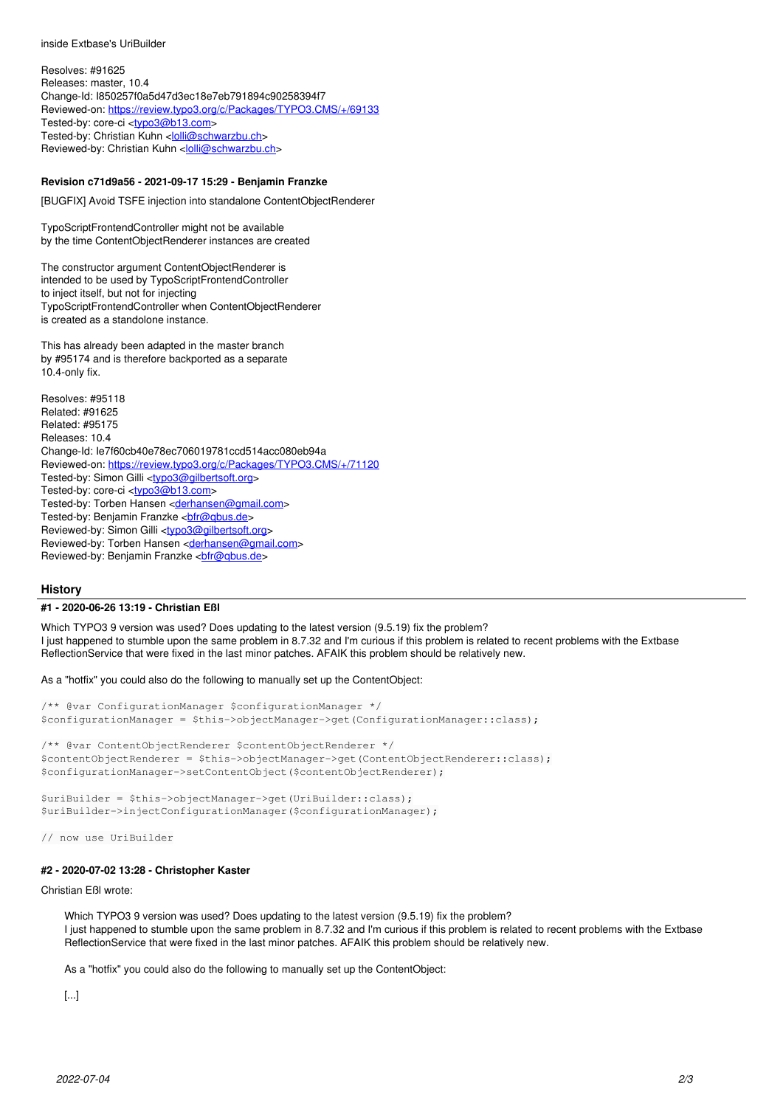inside Extbase's UriBuilder

Resolves: #91625 Releases: master, 10.4 Change-Id: I850257f0a5d47d3ec18e7eb791894c90258394f7 Reviewed-on:<https://review.typo3.org/c/Packages/TYPO3.CMS/+/69133> Tested-by: core-ci [<typo3@b13.com](mailto:typo3@b13.com)> Tested-by: Christian Kuhn <*[lolli@schwarzbu.ch](mailto:lolli@schwarzbu.ch)>* Reviewed-by: Christian Kuhn [<lolli@schwarzbu.ch>](mailto:lolli@schwarzbu.ch)

### **Revision c71d9a56 - 2021-09-17 15:29 - Benjamin Franzke**

[BUGFIX] Avoid TSFE injection into standalone ContentObjectRenderer

TypoScriptFrontendController might not be available by the time ContentObjectRenderer instances are created

The constructor argument ContentObjectRenderer is intended to be used by TypoScriptFrontendController to inject itself, but not for injecting TypoScriptFrontendController when ContentObjectRenderer is created as a standolone instance.

This has already been adapted in the master branch by #95174 and is therefore backported as a separate 10.4-only fix.

Resolves: #95118 Related: #91625 Related: #95175 Releases: 10.4 Change-Id: Ie7f60cb40e78ec706019781ccd514acc080eb94a Reviewed-on:<https://review.typo3.org/c/Packages/TYPO3.CMS/+/71120> Tested-by: Simon Gilli [<typo3@gilbertsoft.org](mailto:typo3@gilbertsoft.org)> Tested-by: core-ci [<typo3@b13.com](mailto:typo3@b13.com)> Tested-by: Torben Hansen [<derhansen@gmail.com>](mailto:derhansen@gmail.com) Tested-by: Benjamin Franzke <br />
chimalis.de> Reviewed-by: Simon Gilli <[typo3@gilbertsoft.org](mailto:typo3@gilbertsoft.org)> Reviewed-by: Torben Hansen <[derhansen@gmail.com](mailto:derhansen@gmail.com)> Reviewed-by: Benjamin Franzke <br />
chimals.de>

## **History**

#### **#1 - 2020-06-26 13:19 - Christian Eßl**

Which TYPO3 9 version was used? Does updating to the latest version (9.5.19) fix the problem? I just happened to stumble upon the same problem in 8.7.32 and I'm curious if this problem is related to recent problems with the Extbase ReflectionService that were fixed in the last minor patches. AFAIK this problem should be relatively new.

As a "hotfix" you could also do the following to manually set up the ContentObject:

```
/** @var ConfigurationManager $configurationManager */
$configurationManager = $this->objectManager->get(ConfigurationManager::class);
/** @var ContentObjectRenderer $contentObjectRenderer */
$contentObjectRenderer = $this->objectManager->get(ContentObjectRenderer::class);
```

```
$configurationManager->setContentObject($contentObjectRenderer);
```

```
$uriBuilder = $this->objectManager->get(UriBuilder::class);
$uriBuilder->injectConfigurationManager($configurationManager);
```
// now use UriBuilder

# **#2 - 2020-07-02 13:28 - Christopher Kaster**

Christian Eßl wrote:

Which TYPO3 9 version was used? Does updating to the latest version (9.5.19) fix the problem? I just happened to stumble upon the same problem in 8.7.32 and I'm curious if this problem is related to recent problems with the Extbase ReflectionService that were fixed in the last minor patches. AFAIK this problem should be relatively new.

As a "hotfix" you could also do the following to manually set up the ContentObject:

[...]